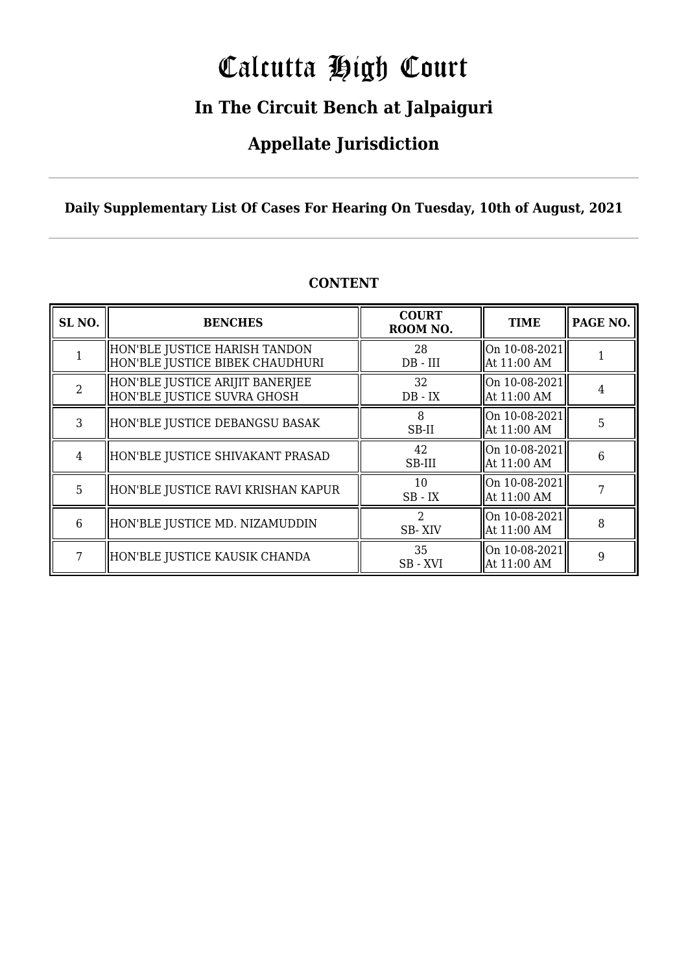# Calcutta High Court

### **In The Circuit Bench at Jalpaiguri**

### **Appellate Jurisdiction**

**Daily Supplementary List Of Cases For Hearing On Tuesday, 10th of August, 2021**

| SL <sub>NO.</sub> | <b>BENCHES</b>                                                   | <b>COURT</b><br>ROOM NO. | <b>TIME</b>                                  | PAGE NO. |
|-------------------|------------------------------------------------------------------|--------------------------|----------------------------------------------|----------|
|                   | HON'BLE JUSTICE HARISH TANDON<br>HON'BLE JUSTICE BIBEK CHAUDHURI | 28<br>$DB - III$         | On $10-08-2021$<br>At 11:00 AM               |          |
| $\mathcal{D}$     | HON'BLE JUSTICE ARIJIT BANERJEE<br>HON'BLE JUSTICE SUVRA GHOSH   | 32<br>$DB - IX$          | On $10-08-2021$<br>At 11:00 AM               |          |
| 3                 | HON'BLE JUSTICE DEBANGSU BASAK                                   | 8<br>SB-II               | $\vert$ On 10-08-2021 $\vert$<br>At 11:00 AM | 5        |
| 4                 | HON'BLE JUSTICE SHIVAKANT PRASAD                                 | 42<br>SB-III             | On $10-08-2021$<br>At 11:00 AM               | 6        |
| 5                 | HON'BLE JUSTICE RAVI KRISHAN KAPUR                               | 10<br>$SB$ - $IX$        | On $10-08-2021$<br>At 11:00 AM               |          |
| 6                 | HON'BLE JUSTICE MD. NIZAMUDDIN                                   | フ<br>SB-XIV              | On 10-08-2021<br>At 11:00 AM                 | 8        |
| 7                 | HON'BLE JUSTICE KAUSIK CHANDA                                    | 35<br>SB - XVI           | $\vert$ On 10-08-2021 $\vert$<br>At 11:00 AM | 9        |

#### **CONTENT**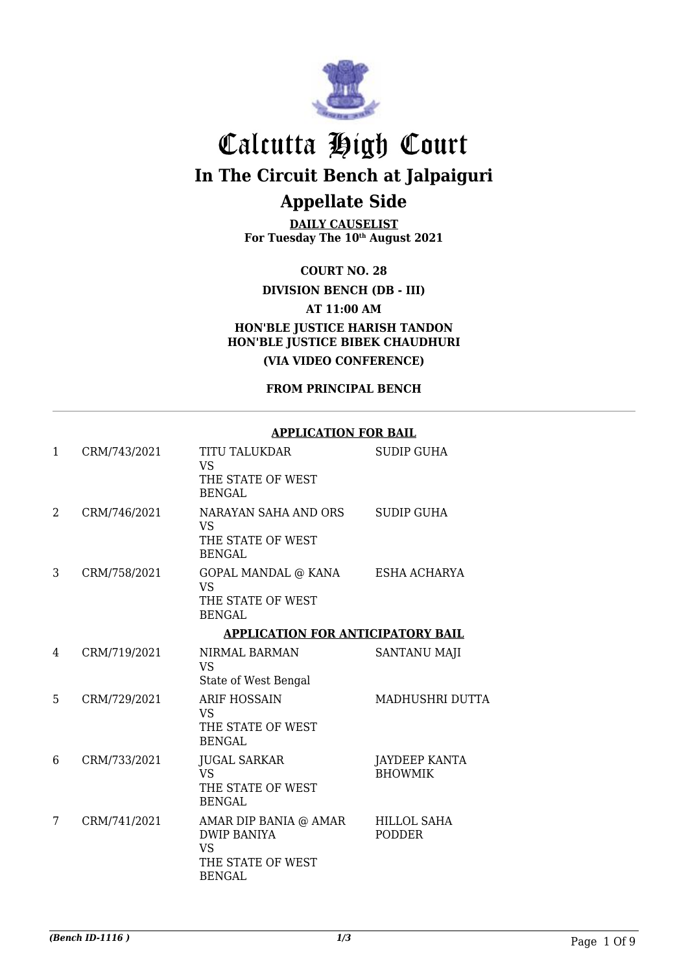

**DAILY CAUSELIST For Tuesday The 10th August 2021**

**COURT NO. 28**

**DIVISION BENCH (DB - III)**

**AT 11:00 AM**

**HON'BLE JUSTICE HARISH TANDON HON'BLE JUSTICE BIBEK CHAUDHURI (VIA VIDEO CONFERENCE)**

**FROM PRINCIPAL BENCH**

#### **APPLICATION FOR BAIL**

| 1 | CRM/743/2021 | <b>TITU TALUKDAR</b><br><b>VS</b><br>THE STATE OF WEST                                         | <b>SUDIP GUHA</b>                      |
|---|--------------|------------------------------------------------------------------------------------------------|----------------------------------------|
|   |              | <b>BENGAL</b>                                                                                  |                                        |
| 2 | CRM/746/2021 | NARAYAN SAHA AND ORS<br>VS<br>THE STATE OF WEST<br><b>BENGAL</b>                               | <b>SUDIP GUHA</b>                      |
| 3 | CRM/758/2021 | GOPAL MANDAL @ KANA<br><b>VS</b><br>THE STATE OF WEST<br><b>BENGAL</b>                         | ESHA ACHARYA                           |
|   |              | <b>APPLICATION FOR ANTICIPATORY BAIL</b>                                                       |                                        |
| 4 | CRM/719/2021 | NIRMAL BARMAN<br><b>VS</b>                                                                     | <b>SANTANU MAJI</b>                    |
|   |              | State of West Bengal                                                                           |                                        |
| 5 | CRM/729/2021 | <b>ARIF HOSSAIN</b><br><b>VS</b><br>THE STATE OF WEST<br><b>BENGAL</b>                         | <b>MADHUSHRI DUTTA</b>                 |
| 6 | CRM/733/2021 | <b>JUGAL SARKAR</b><br><b>VS</b><br>THE STATE OF WEST<br><b>BENGAL</b>                         | <b>JAYDEEP KANTA</b><br><b>BHOWMIK</b> |
| 7 | CRM/741/2021 | AMAR DIP BANIA @ AMAR<br><b>DWIP BANIYA</b><br><b>VS</b><br>THE STATE OF WEST<br><b>BENGAL</b> | <b>HILLOL SAHA</b><br><b>PODDER</b>    |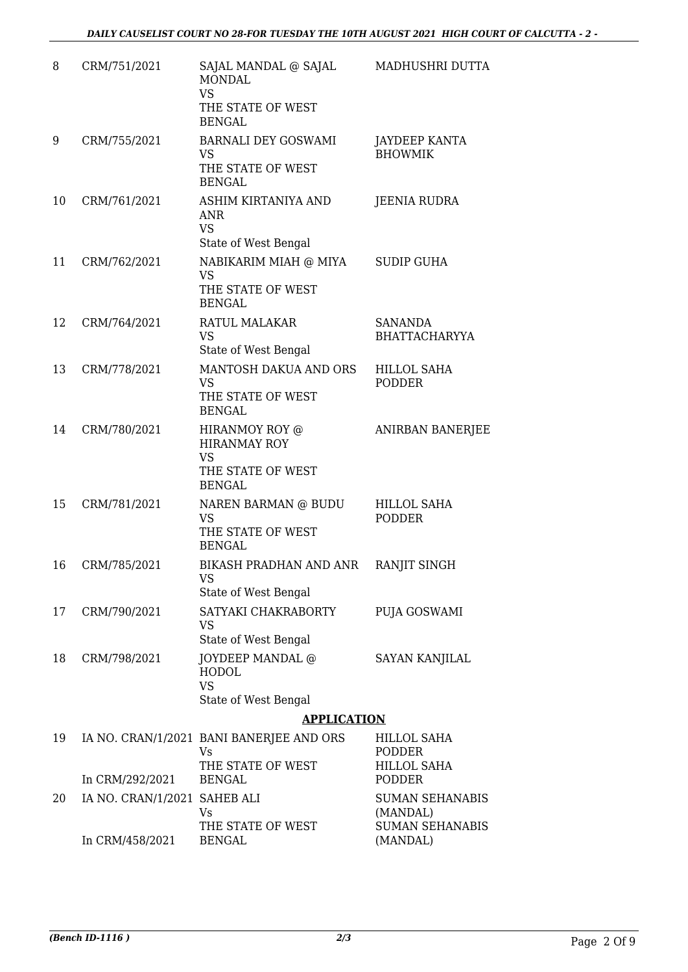| 8  | CRM/751/2021                 | SAJAL MANDAL @ SAJAL<br><b>MONDAL</b><br><b>VS</b><br>THE STATE OF WEST<br><b>BENGAL</b> | MADHUSHRI DUTTA                        |
|----|------------------------------|------------------------------------------------------------------------------------------|----------------------------------------|
| 9  | CRM/755/2021                 | <b>BARNALI DEY GOSWAMI</b><br><b>VS</b><br>THE STATE OF WEST<br><b>BENGAL</b>            | JAYDEEP KANTA<br><b>BHOWMIK</b>        |
| 10 | CRM/761/2021                 | ASHIM KIRTANIYA AND<br><b>ANR</b><br><b>VS</b>                                           | <b>JEENIA RUDRA</b>                    |
|    |                              | State of West Bengal                                                                     |                                        |
| 11 | CRM/762/2021                 | NABIKARIM MIAH @ MIYA<br><b>VS</b><br>THE STATE OF WEST<br><b>BENGAL</b>                 | <b>SUDIP GUHA</b>                      |
| 12 | CRM/764/2021                 | RATUL MALAKAR<br><b>VS</b><br>State of West Bengal                                       | <b>SANANDA</b><br><b>BHATTACHARYYA</b> |
| 13 | CRM/778/2021                 | MANTOSH DAKUA AND ORS<br><b>VS</b><br>THE STATE OF WEST<br><b>BENGAL</b>                 | <b>HILLOL SAHA</b><br><b>PODDER</b>    |
| 14 | CRM/780/2021                 | HIRANMOY ROY @<br><b>HIRANMAY ROY</b><br><b>VS</b><br>THE STATE OF WEST<br><b>BENGAL</b> | <b>ANIRBAN BANERJEE</b>                |
| 15 | CRM/781/2021                 | NAREN BARMAN @ BUDU<br>VS<br>THE STATE OF WEST<br><b>BENGAL</b>                          | <b>HILLOL SAHA</b><br><b>PODDER</b>    |
| 16 | CRM/785/2021                 | BIKASH PRADHAN AND ANR<br><b>VS</b><br>State of West Bengal                              | RANJIT SINGH                           |
| 17 | CRM/790/2021                 | SATYAKI CHAKRABORTY<br><b>VS</b><br>State of West Bengal                                 | PUJA GOSWAMI                           |
| 18 | CRM/798/2021                 | JOYDEEP MANDAL @<br><b>HODOL</b><br><b>VS</b><br>State of West Bengal                    | <b>SAYAN KANJILAL</b>                  |
|    |                              | <b>APPLICATION</b>                                                                       |                                        |
| 19 |                              | IA NO. CRAN/1/2021 BANI BANERJEE AND ORS<br>Vs                                           | HILLOL SAHA<br><b>PODDER</b>           |
|    | In CRM/292/2021              | THE STATE OF WEST<br><b>BENGAL</b>                                                       | <b>HILLOL SAHA</b><br><b>PODDER</b>    |
| 20 | IA NO. CRAN/1/2021 SAHEB ALI | Vs                                                                                       | <b>SUMAN SEHANABIS</b><br>(MANDAL)     |
|    | In CRM/458/2021              | THE STATE OF WEST<br><b>BENGAL</b>                                                       | <b>SUMAN SEHANABIS</b><br>(MANDAL)     |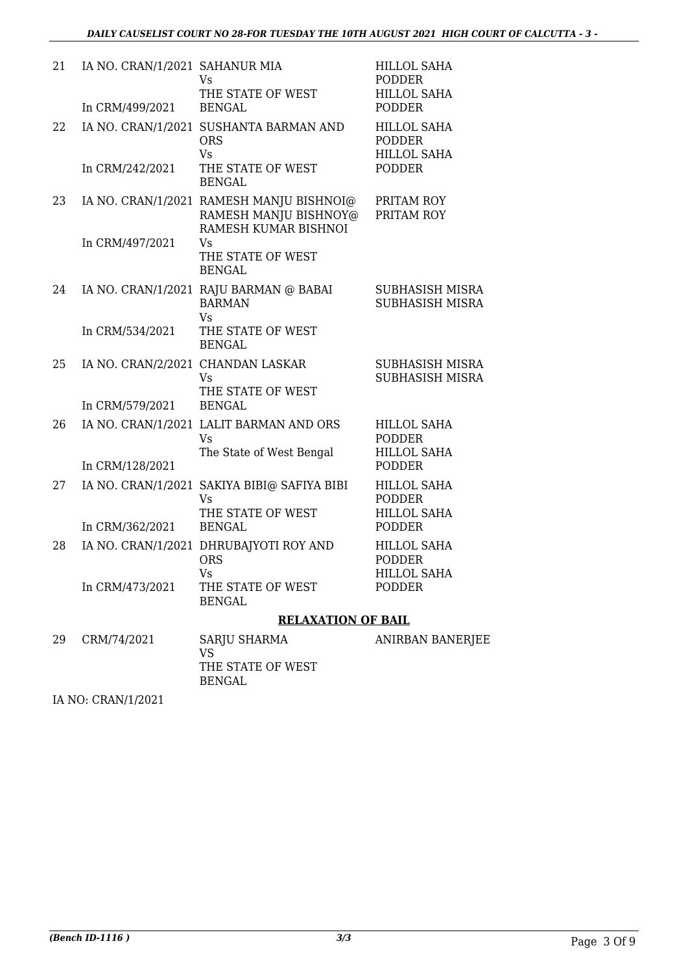| 21 | IA NO. CRAN/1/2021 SAHANUR MIA    | Vs<br>THE STATE OF WEST                                                                   | <b>HILLOL SAHA</b><br><b>PODDER</b><br><b>HILLOL SAHA</b> |
|----|-----------------------------------|-------------------------------------------------------------------------------------------|-----------------------------------------------------------|
|    | In CRM/499/2021                   | <b>BENGAL</b>                                                                             | <b>PODDER</b>                                             |
| 22 |                                   | IA NO. CRAN/1/2021 SUSHANTA BARMAN AND<br><b>ORS</b><br>Vs                                | <b>HILLOL SAHA</b><br><b>PODDER</b><br><b>HILLOL SAHA</b> |
|    | In CRM/242/2021                   | THE STATE OF WEST<br><b>BENGAL</b>                                                        | <b>PODDER</b>                                             |
| 23 |                                   | IA NO. CRAN/1/2021 RAMESH MANJU BISHNOI@<br>RAMESH MANJU BISHNOY@<br>RAMESH KUMAR BISHNOI | PRITAM ROY<br>PRITAM ROY                                  |
|    | In CRM/497/2021                   | Vs<br>THE STATE OF WEST<br><b>BENGAL</b>                                                  |                                                           |
| 24 |                                   | IA NO. CRAN/1/2021 RAJU BARMAN @ BABAI<br><b>BARMAN</b><br>Vs                             | SUBHASISH MISRA<br>SUBHASISH MISRA                        |
|    | In CRM/534/2021                   | THE STATE OF WEST<br><b>BENGAL</b>                                                        |                                                           |
| 25 | IA NO. CRAN/2/2021 CHANDAN LASKAR | <b>Vs</b><br>THE STATE OF WEST                                                            | SUBHASISH MISRA<br>SUBHASISH MISRA                        |
|    | In CRM/579/2021                   | <b>BENGAL</b>                                                                             |                                                           |
| 26 |                                   | IA NO. CRAN/1/2021 LALIT BARMAN AND ORS<br><b>Vs</b><br>The State of West Bengal          | <b>HILLOL SAHA</b><br><b>PODDER</b><br><b>HILLOL SAHA</b> |
|    | In CRM/128/2021                   |                                                                                           | <b>PODDER</b>                                             |
| 27 |                                   | IA NO. CRAN/1/2021 SAKIYA BIBI@ SAFIYA BIBI<br>Vs<br>THE STATE OF WEST                    | <b>HILLOL SAHA</b><br><b>PODDER</b><br><b>HILLOL SAHA</b> |
|    | In CRM/362/2021                   | <b>BENGAL</b>                                                                             | <b>PODDER</b>                                             |
| 28 |                                   | IA NO. CRAN/1/2021 DHRUBAJYOTI ROY AND<br><b>ORS</b><br><b>Vs</b>                         | <b>HILLOL SAHA</b><br><b>PODDER</b><br><b>HILLOL SAHA</b> |
|    | In CRM/473/2021                   | THE STATE OF WEST<br><b>BENGAL</b>                                                        | <b>PODDER</b>                                             |
|    |                                   | <b>RELAXATION OF BAIL</b>                                                                 |                                                           |
| 29 | CRM/74/2021                       | SARJU SHARMA<br><b>VS</b><br>THE STATE OF WEST<br><b>BENGAL</b>                           | ANIRBAN BANERJEE                                          |

IA NO: CRAN/1/2021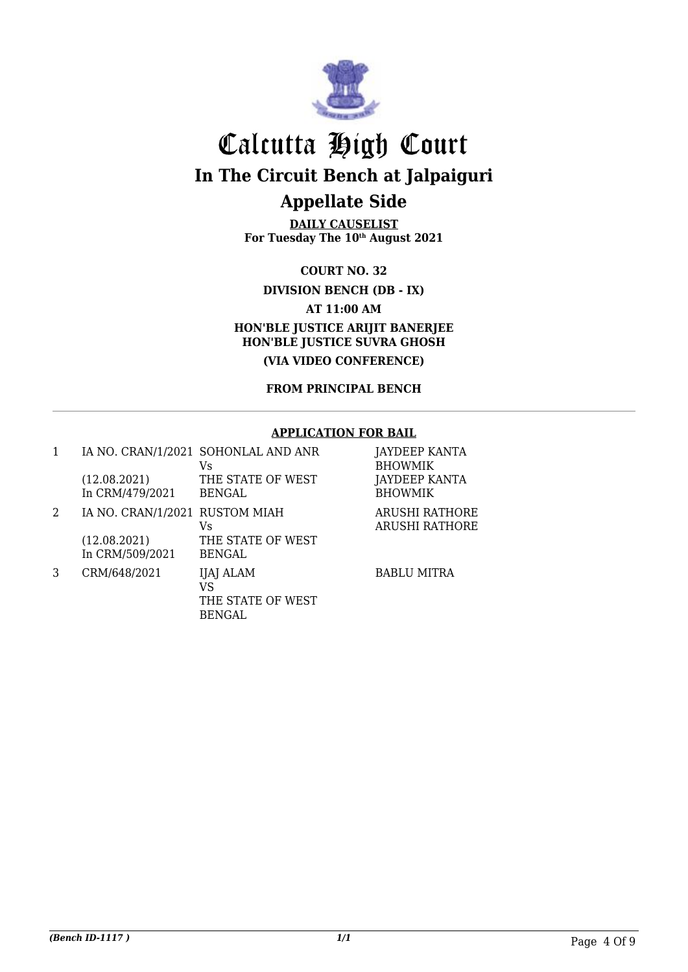

**DAILY CAUSELIST For Tuesday The 10th August 2021**

**COURT NO. 32**

**DIVISION BENCH (DB - IX)**

**AT 11:00 AM**

**HON'BLE JUSTICE ARIJIT BANERJEE HON'BLE JUSTICE SUVRA GHOSH**

**(VIA VIDEO CONFERENCE)**

**FROM PRINCIPAL BENCH**

#### **APPLICATION FOR BAIL**

|   | (12.08.2021)<br>In CRM/479/2021                                   | IA NO. CRAN/1/2021 SOHONLAL AND ANR<br>Vs.<br>THE STATE OF WEST<br><b>BENGAL</b> | JAYDEEP KANTA<br><b>BHOWMIK</b><br>JAYDEEP KANTA<br><b>BHOWMIK</b> |
|---|-------------------------------------------------------------------|----------------------------------------------------------------------------------|--------------------------------------------------------------------|
| 2 | IA NO. CRAN/1/2021 RUSTOM MIAH<br>(12.08.2021)<br>In CRM/509/2021 | Vs.<br>THE STATE OF WEST<br><b>BENGAL</b>                                        | <b>ARUSHI RATHORE</b><br><b>ARUSHI RATHORE</b>                     |
|   | CRM/648/2021                                                      | IJAJ ALAM<br>VS<br>THE STATE OF WEST<br><b>BENGAL</b>                            | <b>BABLU MITRA</b>                                                 |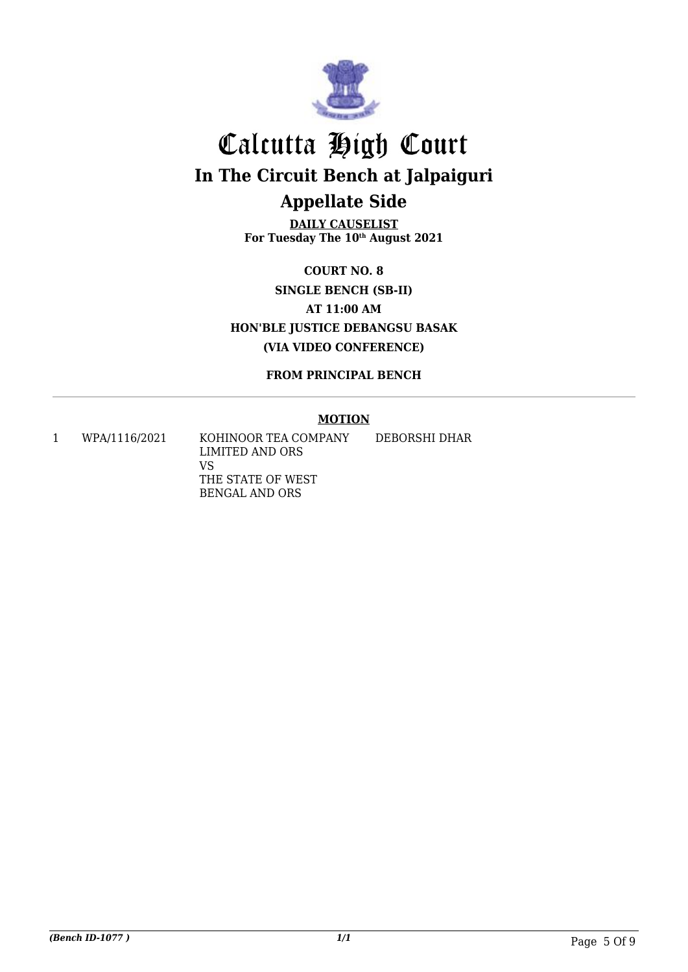

**DAILY CAUSELIST For Tuesday The 10th August 2021**

**COURT NO. 8 SINGLE BENCH (SB-II) AT 11:00 AM HON'BLE JUSTICE DEBANGSU BASAK (VIA VIDEO CONFERENCE)**

**FROM PRINCIPAL BENCH**

#### **MOTION**

1 WPA/1116/2021 KOHINOOR TEA COMPANY LIMITED AND ORS VS THE STATE OF WEST BENGAL AND ORS DEBORSHI DHAR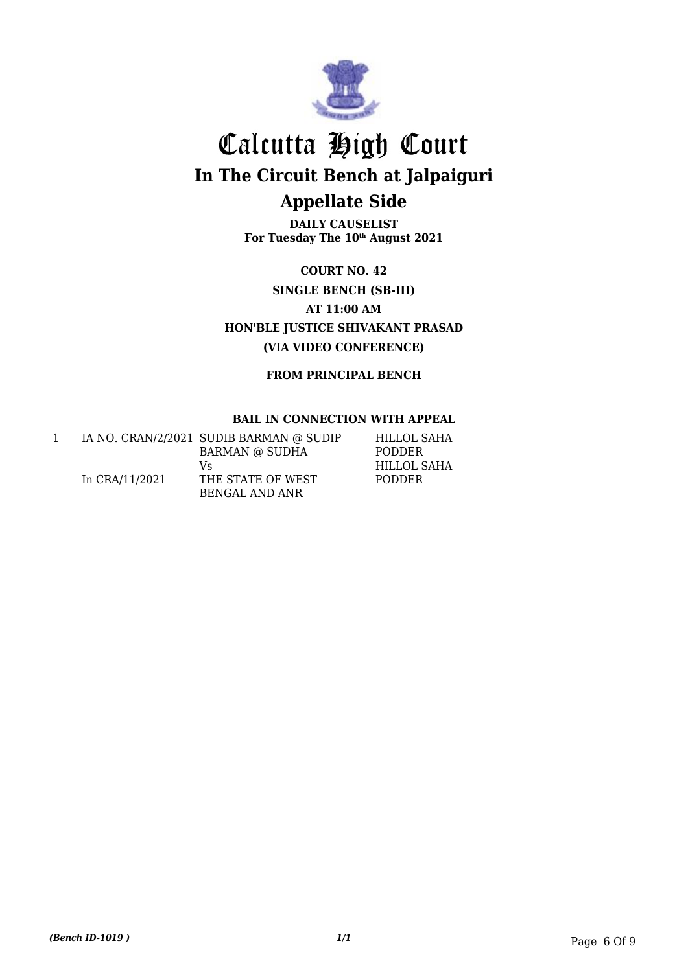

**DAILY CAUSELIST For Tuesday The 10th August 2021**

**COURT NO. 42 SINGLE BENCH (SB-III) AT 11:00 AM HON'BLE JUSTICE SHIVAKANT PRASAD (VIA VIDEO CONFERENCE)**

**FROM PRINCIPAL BENCH**

#### **BAIL IN CONNECTION WITH APPEAL**

|                | IA NO. CRAN/2/2021 SUDIB BARMAN @ SUDIP | HILLOL SAHA   |
|----------------|-----------------------------------------|---------------|
|                | <b>BARMAN @ SUDHA</b>                   | <b>PODDER</b> |
|                | Vs                                      | HILLOL SAHA   |
| In CRA/11/2021 | THE STATE OF WEST                       | <b>PODDER</b> |
|                | BENGAL AND ANR                          |               |

*(Bench ID-1019 ) 1/1* Page 6 Of 9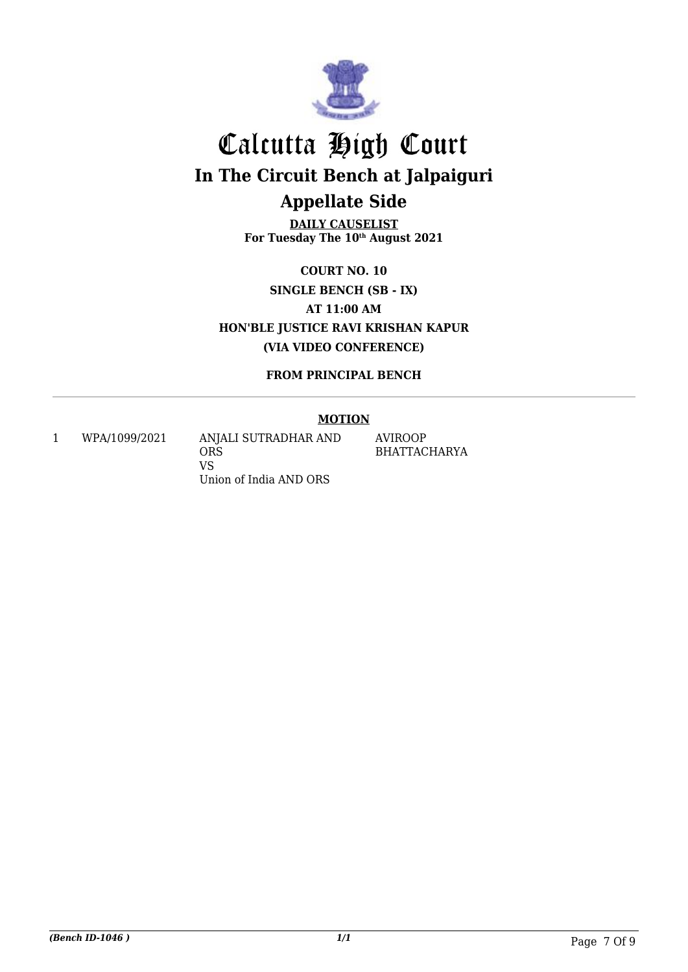

**DAILY CAUSELIST For Tuesday The 10th August 2021**

**COURT NO. 10 SINGLE BENCH (SB - IX) AT 11:00 AM HON'BLE JUSTICE RAVI KRISHAN KAPUR (VIA VIDEO CONFERENCE)**

**FROM PRINCIPAL BENCH**

#### **MOTION**

1 WPA/1099/2021 ANJALI SUTRADHAR AND ORS VS Union of India AND ORS

AVIROOP BHATTACHARYA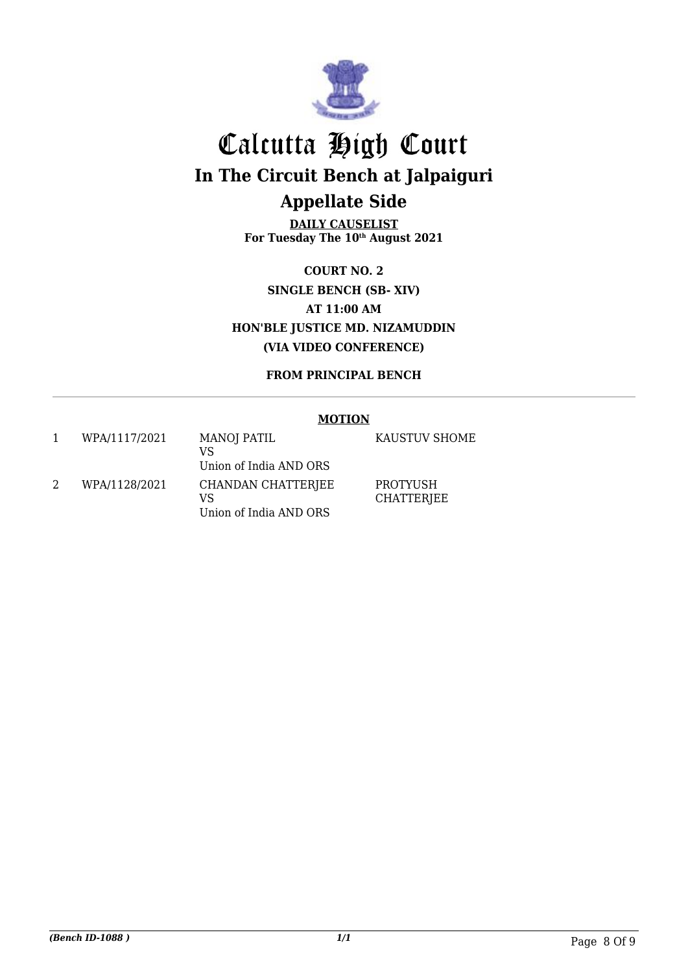

**DAILY CAUSELIST For Tuesday The 10th August 2021**

**COURT NO. 2 SINGLE BENCH (SB- XIV) AT 11:00 AM HON'BLE JUSTICE MD. NIZAMUDDIN (VIA VIDEO CONFERENCE)**

**FROM PRINCIPAL BENCH**

#### **MOTION**

|                | WPA/1117/2021 | MANOJ PATIL<br>VS        |
|----------------|---------------|--------------------------|
|                |               | Union of India AND ORS   |
| $\mathfrak{D}$ | WPA/1128/2021 | CHANDAN CHATTERJEE<br>VS |
|                |               | Union of India AND ORS   |

KAUSTUV SHOME

PROTYUSH CHATTERJEE